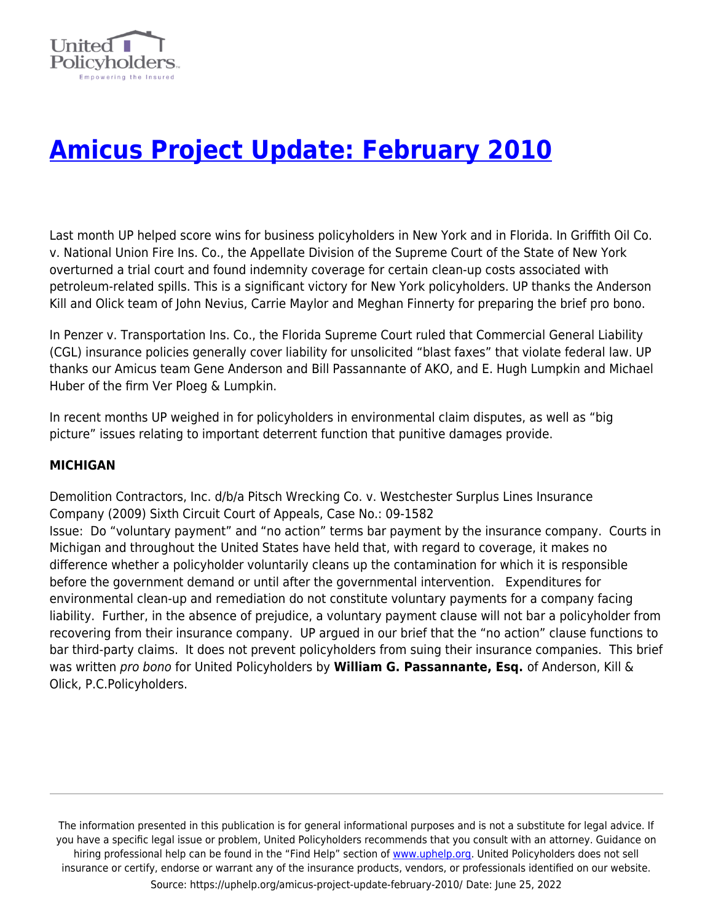

# **[Amicus Project Update: February 2010](https://uphelp.org/amicus-project-update-february-2010/)**

Last month UP helped score wins for business policyholders in New York and in Florida. In Griffith Oil Co. v. National Union Fire Ins. Co., the Appellate Division of the Supreme Court of the State of New York overturned a trial court and found indemnity coverage for certain clean-up costs associated with petroleum-related spills. This is a significant victory for New York policyholders. UP thanks the Anderson Kill and Olick team of John Nevius, Carrie Maylor and Meghan Finnerty for preparing the brief pro bono.

In Penzer v. Transportation Ins. Co., the Florida Supreme Court ruled that Commercial General Liability (CGL) insurance policies generally cover liability for unsolicited "blast faxes" that violate federal law. UP thanks our Amicus team Gene Anderson and Bill Passannante of AKO, and E. Hugh Lumpkin and Michael Huber of the firm Ver Ploeg & Lumpkin.

In recent months UP weighed in for policyholders in environmental claim disputes, as well as "big picture" issues relating to important deterrent function that punitive damages provide.

## **MICHIGAN**

Demolition Contractors, Inc. d/b/a Pitsch Wrecking Co. v. Westchester Surplus Lines Insurance Company (2009) Sixth Circuit Court of Appeals, Case No.: 09-1582 Issue: Do "voluntary payment" and "no action" terms bar payment by the insurance company. Courts in Michigan and throughout the United States have held that, with regard to coverage, it makes no difference whether a policyholder voluntarily cleans up the contamination for which it is responsible before the government demand or until after the governmental intervention. Expenditures for environmental clean-up and remediation do not constitute voluntary payments for a company facing liability. Further, in the absence of prejudice, a voluntary payment clause will not bar a policyholder from recovering from their insurance company. UP argued in our brief that the "no action" clause functions to bar third-party claims. It does not prevent policyholders from suing their insurance companies. This brief was written pro bono for United Policyholders by **William G. Passannante, Esq.** of Anderson, Kill & Olick, P.C.Policyholders.

The information presented in this publication is for general informational purposes and is not a substitute for legal advice. If you have a specific legal issue or problem, United Policyholders recommends that you consult with an attorney. Guidance on hiring professional help can be found in the "Find Help" section of [www.uphelp.org.](http://www.uphelp.org/) United Policyholders does not sell insurance or certify, endorse or warrant any of the insurance products, vendors, or professionals identified on our website. Source: https://uphelp.org/amicus-project-update-february-2010/ Date: June 25, 2022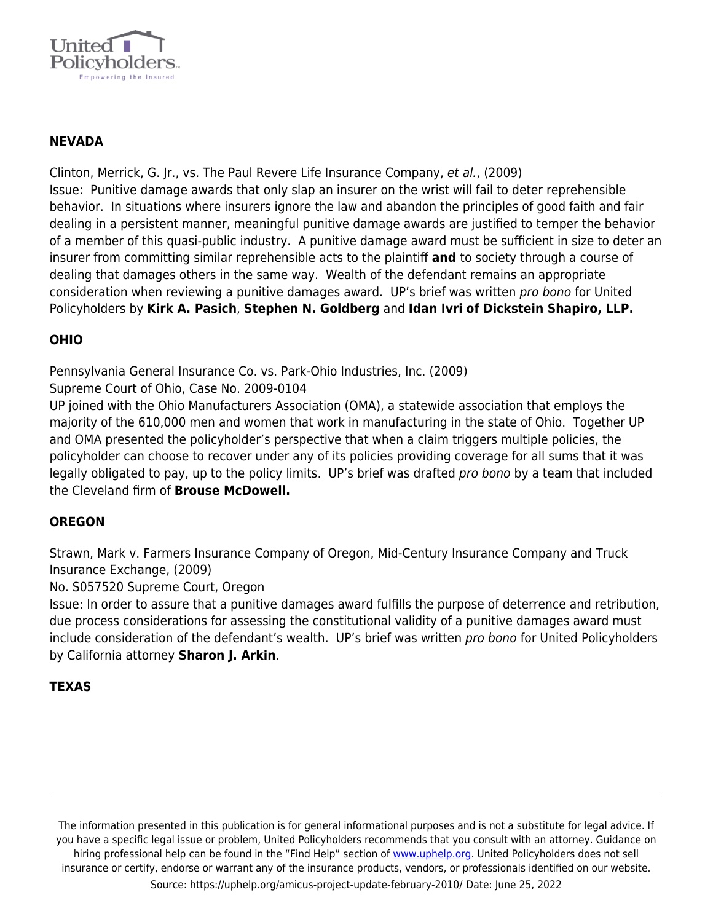

## **NEVADA**

Clinton, Merrick, G. Jr., vs. The Paul Revere Life Insurance Company, et al., (2009) Issue: Punitive damage awards that only slap an insurer on the wrist will fail to deter reprehensible behavior. In situations where insurers ignore the law and abandon the principles of good faith and fair dealing in a persistent manner, meaningful punitive damage awards are justified to temper the behavior of a member of this quasi-public industry. A punitive damage award must be sufficient in size to deter an insurer from committing similar reprehensible acts to the plaintiff **and** to society through a course of dealing that damages others in the same way. Wealth of the defendant remains an appropriate consideration when reviewing a punitive damages award. UP's brief was written *pro bono* for United Policyholders by **Kirk A. Pasich**, **Stephen N. Goldberg** and **Idan Ivri of Dickstein Shapiro, LLP.**

## **OHIO**

Pennsylvania General Insurance Co. vs. Park-Ohio Industries, Inc. (2009)

Supreme Court of Ohio, Case No. 2009-0104

UP joined with the Ohio Manufacturers Association (OMA), a statewide association that employs the majority of the 610,000 men and women that work in manufacturing in the state of Ohio. Together UP and OMA presented the policyholder's perspective that when a claim triggers multiple policies, the policyholder can choose to recover under any of its policies providing coverage for all sums that it was legally obligated to pay, up to the policy limits. UP's brief was drafted pro bono by a team that included the Cleveland firm of **Brouse McDowell.**

#### **OREGON**

Strawn, Mark v. Farmers Insurance Company of Oregon, Mid-Century Insurance Company and Truck Insurance Exchange, (2009)

No. S057520 Supreme Court, Oregon

Issue: In order to assure that a punitive damages award fulfills the purpose of deterrence and retribution, due process considerations for assessing the constitutional validity of a punitive damages award must include consideration of the defendant's wealth. UP's brief was written pro bono for United Policyholders by California attorney **Sharon J. Arkin**.

#### **TEXAS**

The information presented in this publication is for general informational purposes and is not a substitute for legal advice. If you have a specific legal issue or problem, United Policyholders recommends that you consult with an attorney. Guidance on hiring professional help can be found in the "Find Help" section of [www.uphelp.org.](http://www.uphelp.org/) United Policyholders does not sell insurance or certify, endorse or warrant any of the insurance products, vendors, or professionals identified on our website. Source: https://uphelp.org/amicus-project-update-february-2010/ Date: June 25, 2022